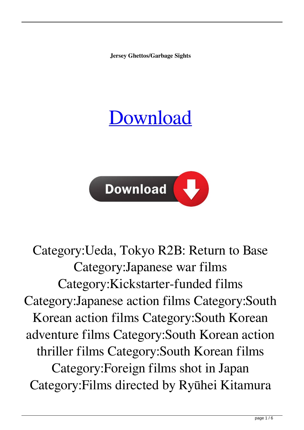**Jersey Ghettos/Garbage Sights**

## [Download](https://tiurll.com/2l024d)



Category:Ueda, Tokyo R2B: Return to Base Category:Japanese war films Category:Kickstarter-funded films Category:Japanese action films Category:South Korean action films Category:South Korean adventure films Category:South Korean action thriller films Category:South Korean films Category:Foreign films shot in Japan Category:Films directed by Ryūhei Kitamura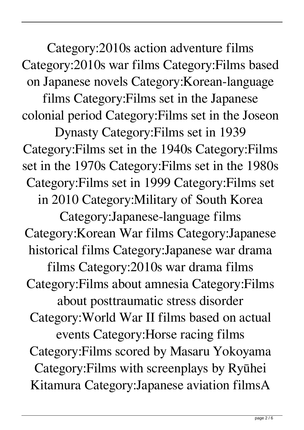Category:2010s action adventure films Category:2010s war films Category:Films based on Japanese novels Category:Korean-language films Category:Films set in the Japanese colonial period Category:Films set in the Joseon Dynasty Category:Films set in 1939 Category:Films set in the 1940s Category:Films set in the 1970s Category:Films set in the 1980s Category:Films set in 1999 Category:Films set in 2010 Category:Military of South Korea Category:Japanese-language films Category:Korean War films Category:Japanese historical films Category:Japanese war drama films Category:2010s war drama films Category:Films about amnesia Category:Films about posttraumatic stress disorder Category:World War II films based on actual events Category:Horse racing films Category:Films scored by Masaru Yokoyama Category:Films with screenplays by Ryūhei Kitamura Category:Japanese aviation filmsA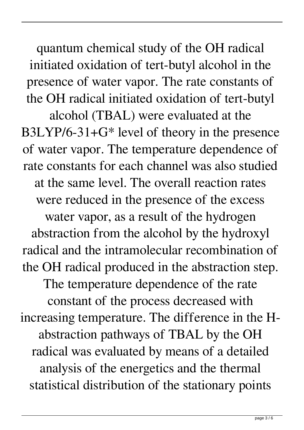quantum chemical study of the OH radical initiated oxidation of tert-butyl alcohol in the presence of water vapor. The rate constants of the OH radical initiated oxidation of tert-butyl alcohol (TBAL) were evaluated at the B3LYP/6-31+G\* level of theory in the presence of water vapor. The temperature dependence of rate constants for each channel was also studied at the same level. The overall reaction rates were reduced in the presence of the excess water vapor, as a result of the hydrogen abstraction from the alcohol by the hydroxyl radical and the intramolecular recombination of the OH radical produced in the abstraction step. The temperature dependence of the rate constant of the process decreased with increasing temperature. The difference in the Habstraction pathways of TBAL by the OH radical was evaluated by means of a detailed analysis of the energetics and the thermal statistical distribution of the stationary points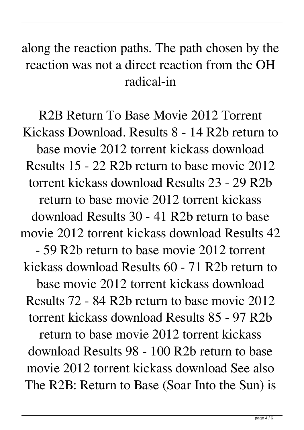## along the reaction paths. The path chosen by the reaction was not a direct reaction from the OH radical-in

R2B Return To Base Movie 2012 Torrent Kickass Download. Results 8 - 14 R2b return to base movie 2012 torrent kickass download Results 15 - 22 R2b return to base movie 2012 torrent kickass download Results 23 - 29 R2b return to base movie 2012 torrent kickass download Results 30 - 41 R2b return to base movie 2012 torrent kickass download Results 42 - 59 R2b return to base movie 2012 torrent kickass download Results 60 - 71 R2b return to base movie 2012 torrent kickass download Results 72 - 84 R2b return to base movie 2012 torrent kickass download Results 85 - 97 R2b return to base movie 2012 torrent kickass download Results 98 - 100 R2b return to base movie 2012 torrent kickass download See also The R2B: Return to Base (Soar Into the Sun) is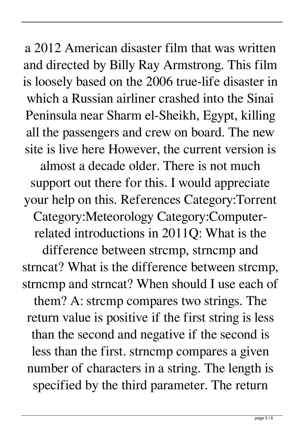support out there for this. I would appreciate your help on this. References Category:Torrent Category:Meteorology Category:Computerrelated introductions in 2011Q: What is the difference between strcmp, strncmp and strncat? What is the difference between strcmp, strncmp and strncat? When should I use each of them? A: strcmp compares two strings. The return value is positive if the first string is less than the second and negative if the second is less than the first. strncmp compares a given number of characters in a string. The length is specified by the third parameter. The return

a 2012 American disaster film that was written and directed by Billy Ray Armstrong. This film is loosely based on the 2006 true-life disaster in which a Russian airliner crashed into the Sinai Peninsula near Sharm el-Sheikh, Egypt, killing all the passengers and crew on board. The new site is live here However, the current version is almost a decade older. There is not much